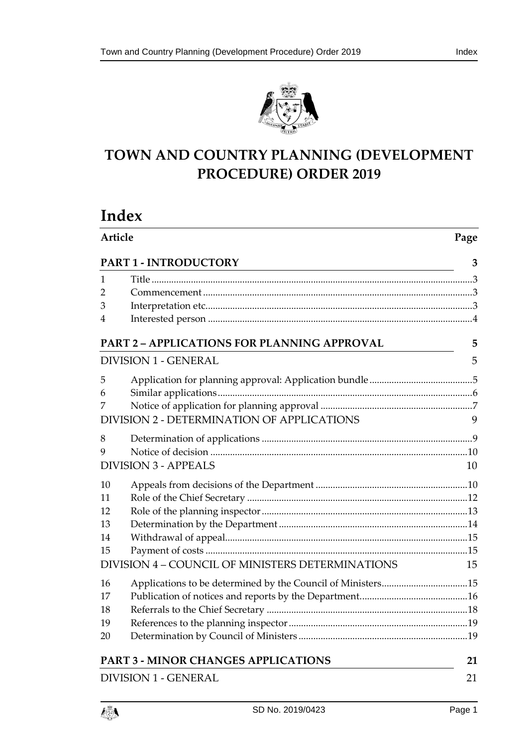

# **TOWN AND COUNTRY PLANNING (DEVELOPMENT PROCEDURE) ORDER 2019**

# **Index**

| Article                     |                                                             | Page |
|-----------------------------|-------------------------------------------------------------|------|
|                             | PART 1 - INTRODUCTORY                                       | 3    |
| 1                           |                                                             |      |
| 2                           |                                                             |      |
| 3                           |                                                             |      |
| 4                           |                                                             |      |
|                             | <b>PART 2 - APPLICATIONS FOR PLANNING APPROVAL</b>          | 5    |
|                             | <b>DIVISION 1 - GENERAL</b>                                 | 5    |
| 5                           |                                                             |      |
| 6                           |                                                             |      |
| 7                           |                                                             |      |
|                             | <b>DIVISION 2 - DETERMINATION OF APPLICATIONS</b>           | 9    |
| 8                           |                                                             |      |
| 9                           |                                                             |      |
|                             | <b>DIVISION 3 - APPEALS</b>                                 | 10   |
| 10                          |                                                             |      |
| 11                          |                                                             |      |
| 12                          |                                                             |      |
| 13                          |                                                             |      |
| 14                          |                                                             |      |
| 15                          |                                                             |      |
|                             | DIVISION 4 - COUNCIL OF MINISTERS DETERMINATIONS            | 15   |
| 16                          | Applications to be determined by the Council of Ministers15 |      |
| 17                          |                                                             |      |
| 18                          |                                                             |      |
| 19                          |                                                             |      |
| 20                          |                                                             |      |
|                             | <b>PART 3 - MINOR CHANGES APPLICATIONS</b>                  | 21   |
| <b>DIVISION 1 - GENERAL</b> |                                                             | 21   |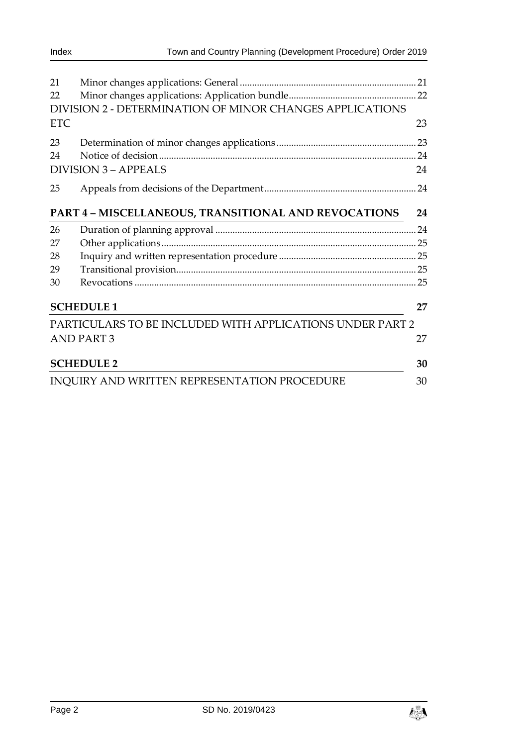| 21<br>22                                             |                                                           |    |
|------------------------------------------------------|-----------------------------------------------------------|----|
|                                                      | DIVISION 2 - DETERMINATION OF MINOR CHANGES APPLICATIONS  |    |
| <b>ETC</b>                                           |                                                           | 23 |
| 23                                                   |                                                           |    |
| 24                                                   |                                                           |    |
|                                                      | <b>DIVISION 3 - APPEALS</b>                               | 24 |
| 25                                                   |                                                           |    |
| PART 4 - MISCELLANEOUS, TRANSITIONAL AND REVOCATIONS |                                                           |    |
| 26                                                   |                                                           |    |
| 27                                                   |                                                           |    |
| 28                                                   |                                                           |    |
| 29                                                   |                                                           |    |
| 30                                                   |                                                           |    |
| <b>SCHEDULE 1</b>                                    |                                                           | 27 |
|                                                      | PARTICULARS TO BE INCLUDED WITH APPLICATIONS UNDER PART 2 |    |
|                                                      | <b>AND PART 3</b>                                         | 27 |
|                                                      | <b>SCHEDULE 2</b>                                         | 30 |
|                                                      | <b>INQUIRY AND WRITTEN REPRESENTATION PROCEDURE</b>       | 30 |

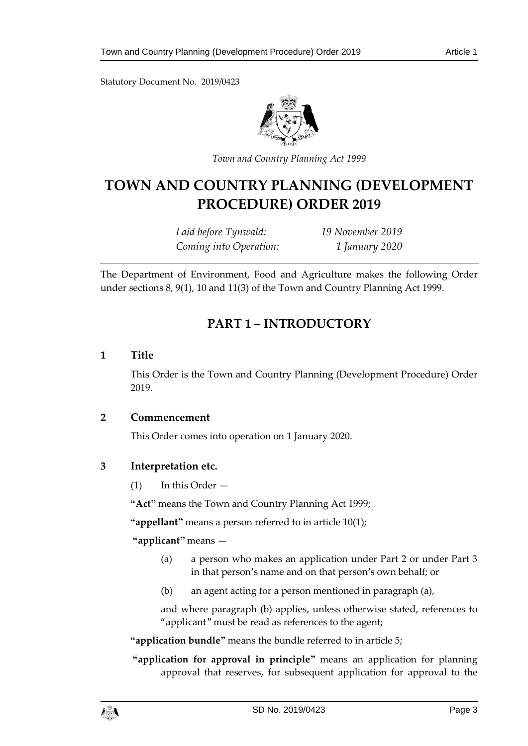Statutory Document No. 2019/0423



*Town and Country Planning Act 1999*

# **TOWN AND COUNTRY PLANNING (DEVELOPMENT PROCEDURE) ORDER 2019**

*Laid before Tynwald: 19 November 2019 Coming into Operation: 1 January 2020*

<span id="page-2-0"></span>The Department of Environment, Food and Agriculture makes the following Order under sections 8, 9(1), 10 and 11(3) of the Town and Country Planning Act 1999.

# **PART 1 – INTRODUCTORY**

# <span id="page-2-1"></span>**1 Title**

This Order is the Town and Country Planning (Development Procedure) Order 2019.

# <span id="page-2-2"></span>**2 Commencement**

This Order comes into operation on 1 January 2020.

# <span id="page-2-3"></span>**3 Interpretation etc.**

(1) In this Order —

**"Act"** means the Town and Country Planning Act 1999;

**"appellant"** means a person referred to in article 10(1);

# **"applicant"** means —

- (a) a person who makes an application under Part 2 or under Part 3 in that person's name and on that person's own behalf; or
- (b) an agent acting for a person mentioned in paragraph (a),

and where paragraph (b) applies, unless otherwise stated, references to "applicant" must be read as references to the agent;

**"application bundle"** means the bundle referred to in article 5;

**"application for approval in principle"** means an application for planning approval that reserves, for subsequent application for approval to the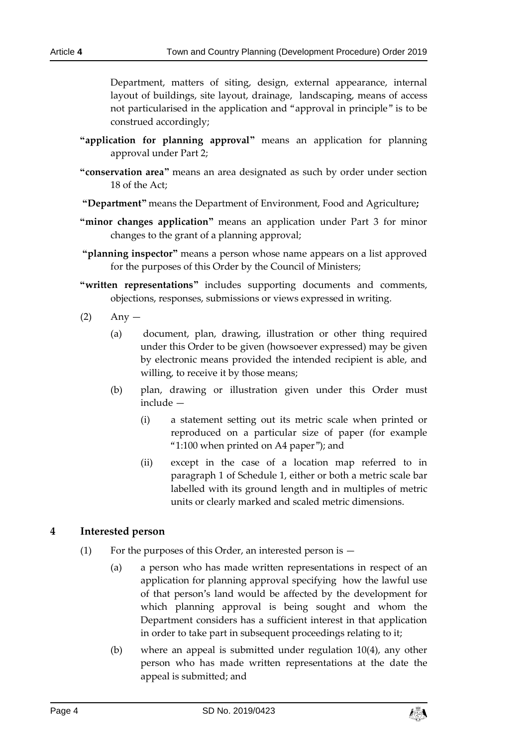Department, matters of siting, design, external appearance, internal layout of buildings, site layout, drainage, landscaping, means of access not particularised in the application and "approval in principle" is to be construed accordingly;

- **"application for planning approval"** means an application for planning approval under Part 2;
- **"conservation area"** means an area designated as such by order under section 18 of the Act;
- **"Department"** means the Department of Environment, Food and Agriculture**;**
- **"minor changes application"** means an application under Part 3 for minor changes to the grant of a planning approval;
- **"planning inspector"** means a person whose name appears on a list approved for the purposes of this Order by the Council of Ministers;
- **"written representations"** includes supporting documents and comments, objections, responses, submissions or views expressed in writing.
- $(2)$  Any
	- (a) document, plan, drawing, illustration or other thing required under this Order to be given (howsoever expressed) may be given by electronic means provided the intended recipient is able, and willing, to receive it by those means;
	- (b) plan, drawing or illustration given under this Order must include —
		- (i) a statement setting out its metric scale when printed or reproduced on a particular size of paper (for example "1:100 when printed on A4 paper"); and
		- (ii) except in the case of a location map referred to in paragraph 1 of Schedule 1, either or both a metric scale bar labelled with its ground length and in multiples of metric units or clearly marked and scaled metric dimensions.

# <span id="page-3-0"></span>**4 Interested person**

- (1) For the purposes of this Order, an interested person is  $-$ 
	- (a) a person who has made written representations in respect of an application for planning approval specifying how the lawful use of that person's land would be affected by the development for which planning approval is being sought and whom the Department considers has a sufficient interest in that application in order to take part in subsequent proceedings relating to it;
	- (b) where an appeal is submitted under regulation 10(4), any other person who has made written representations at the date the appeal is submitted; and

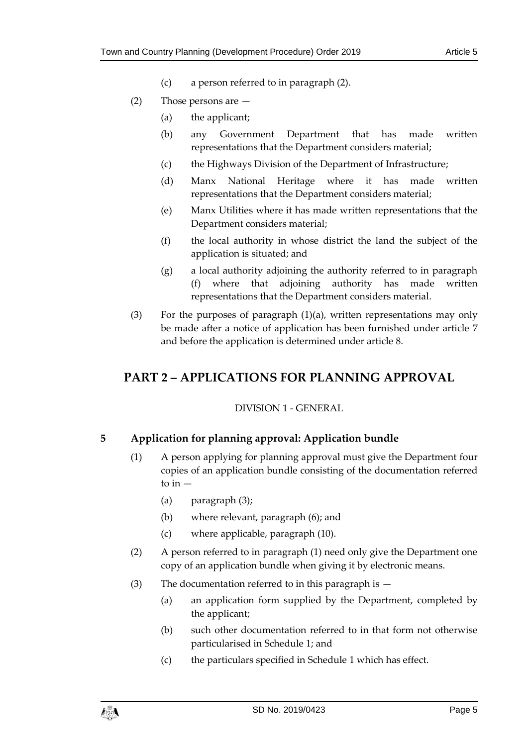- (c) a person referred to in paragraph (2).
- (2) Those persons are
	- (a) the applicant;
	- (b) any Government Department that has made written representations that the Department considers material;
	- (c) the Highways Division of the Department of Infrastructure;
	- (d) Manx National Heritage where it has made written representations that the Department considers material;
	- (e) Manx Utilities where it has made written representations that the Department considers material;
	- (f) the local authority in whose district the land the subject of the application is situated; and
	- (g) a local authority adjoining the authority referred to in paragraph (f) where that adjoining authority has made written representations that the Department considers material.
- (3) For the purposes of paragraph (1)(a), written representations may only be made after a notice of application has been furnished under article 7 and before the application is determined under article 8.

# <span id="page-4-1"></span><span id="page-4-0"></span>**PART 2 – APPLICATIONS FOR PLANNING APPROVAL**

# DIVISION 1 - GENERAL

# <span id="page-4-2"></span>**5 Application for planning approval: Application bundle**

- (1) A person applying for planning approval must give the Department four copies of an application bundle consisting of the documentation referred to in  $-$ 
	- (a) paragraph (3);
	- (b) where relevant, paragraph (6); and
	- (c) where applicable, paragraph (10).
- (2) A person referred to in paragraph (1) need only give the Department one copy of an application bundle when giving it by electronic means.
- (3) The documentation referred to in this paragraph is
	- (a) an application form supplied by the Department, completed by the applicant;
	- (b) such other documentation referred to in that form not otherwise particularised in Schedule 1; and
	- (c) the particulars specified in Schedule 1 which has effect.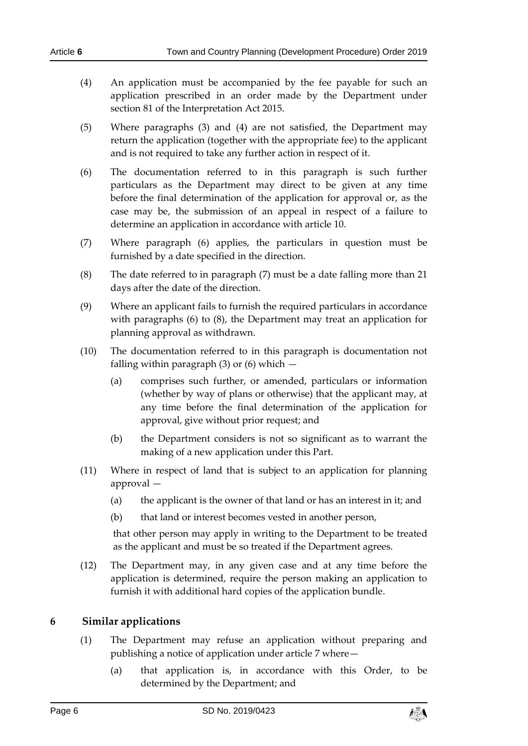- (5) Where paragraphs (3) and (4) are not satisfied, the Department may return the application (together with the appropriate fee) to the applicant and is not required to take any further action in respect of it.
- (6) The documentation referred to in this paragraph is such further particulars as the Department may direct to be given at any time before the final determination of the application for approval or, as the case may be, the submission of an appeal in respect of a failure to determine an application in accordance with article 10.
- (7) Where paragraph (6) applies, the particulars in question must be furnished by a date specified in the direction.
- (8) The date referred to in paragraph (7) must be a date falling more than 21 days after the date of the direction.
- (9) Where an applicant fails to furnish the required particulars in accordance with paragraphs (6) to (8), the Department may treat an application for planning approval as withdrawn.
- (10) The documentation referred to in this paragraph is documentation not falling within paragraph  $(3)$  or  $(6)$  which  $-$ 
	- (a) comprises such further, or amended, particulars or information (whether by way of plans or otherwise) that the applicant may, at any time before the final determination of the application for approval, give without prior request; and
	- (b) the Department considers is not so significant as to warrant the making of a new application under this Part.
- (11) Where in respect of land that is subject to an application for planning approval —
	- (a) the applicant is the owner of that land or has an interest in it; and
	- (b) that land or interest becomes vested in another person,

that other person may apply in writing to the Department to be treated as the applicant and must be so treated if the Department agrees.

(12) The Department may, in any given case and at any time before the application is determined, require the person making an application to furnish it with additional hard copies of the application bundle.

# <span id="page-5-0"></span>**6 Similar applications**

- (1) The Department may refuse an application without preparing and publishing a notice of application under article 7 where—
	- (a) that application is, in accordance with this Order, to be determined by the Department; and

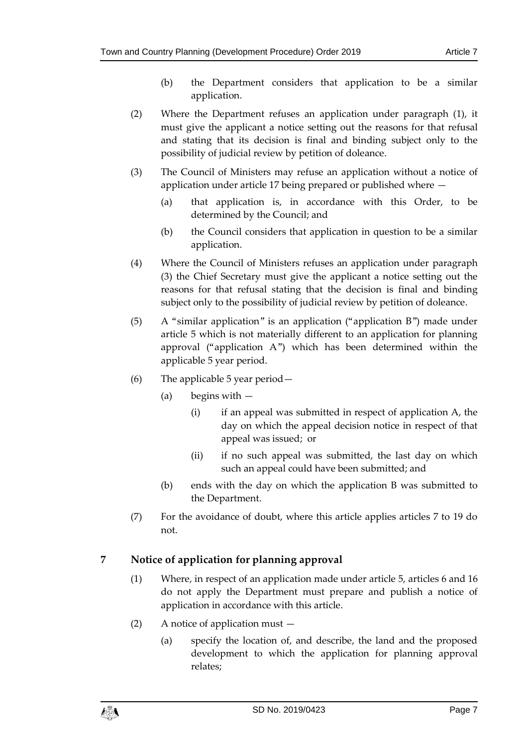- (b) the Department considers that application to be a similar application.
- (2) Where the Department refuses an application under paragraph (1), it must give the applicant a notice setting out the reasons for that refusal and stating that its decision is final and binding subject only to the possibility of judicial review by petition of doleance.
- (3) The Council of Ministers may refuse an application without a notice of application under article 17 being prepared or published where —
	- (a) that application is, in accordance with this Order, to be determined by the Council; and
	- (b) the Council considers that application in question to be a similar application.
- (4) Where the Council of Ministers refuses an application under paragraph (3) the Chief Secretary must give the applicant a notice setting out the reasons for that refusal stating that the decision is final and binding subject only to the possibility of judicial review by petition of doleance.
- (5) A "similar application" is an application ("application B") made under article 5 which is not materially different to an application for planning approval ("application A") which has been determined within the applicable 5 year period.
- (6) The applicable 5 year period—
	- (a) begins with
		- (i) if an appeal was submitted in respect of application A, the day on which the appeal decision notice in respect of that appeal was issued; or
		- (ii) if no such appeal was submitted, the last day on which such an appeal could have been submitted; and
	- (b) ends with the day on which the application B was submitted to the Department.
- (7) For the avoidance of doubt, where this article applies articles 7 to 19 do not.

# <span id="page-6-0"></span>**7 Notice of application for planning approval**

- (1) Where, in respect of an application made under article 5, articles 6 and 16 do not apply the Department must prepare and publish a notice of application in accordance with this article.
- (2) A notice of application must
	- (a) specify the location of, and describe, the land and the proposed development to which the application for planning approval relates;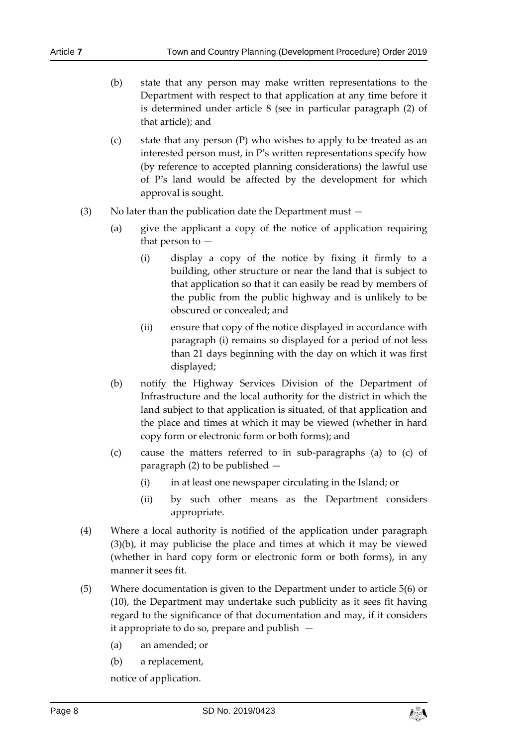- (b) state that any person may make written representations to the Department with respect to that application at any time before it is determined under article 8 (see in particular paragraph (2) of that article); and
- (c) state that any person (P) who wishes to apply to be treated as an interested person must, in P's written representations specify how (by reference to accepted planning considerations) the lawful use of P's land would be affected by the development for which approval is sought.
- (3) No later than the publication date the Department must  $-$ 
	- (a) give the applicant a copy of the notice of application requiring that person to —
		- (i) display a copy of the notice by fixing it firmly to a building, other structure or near the land that is subject to that application so that it can easily be read by members of the public from the public highway and is unlikely to be obscured or concealed; and
		- (ii) ensure that copy of the notice displayed in accordance with paragraph (i) remains so displayed for a period of not less than 21 days beginning with the day on which it was first displayed;
	- (b) notify the Highway Services Division of the Department of Infrastructure and the local authority for the district in which the land subject to that application is situated, of that application and the place and times at which it may be viewed (whether in hard copy form or electronic form or both forms); and
	- (c) cause the matters referred to in sub-paragraphs (a) to (c) of paragraph (2) to be published —
		- (i) in at least one newspaper circulating in the Island; or
		- (ii) by such other means as the Department considers appropriate.
- (4) Where a local authority is notified of the application under paragraph (3)(b), it may publicise the place and times at which it may be viewed (whether in hard copy form or electronic form or both forms), in any manner it sees fit.
- (5) Where documentation is given to the Department under to article 5(6) or (10), the Department may undertake such publicity as it sees fit having regard to the significance of that documentation and may, if it considers it appropriate to do so, prepare and publish —
	- (a) an amended; or
	- (b) a replacement,

notice of application.

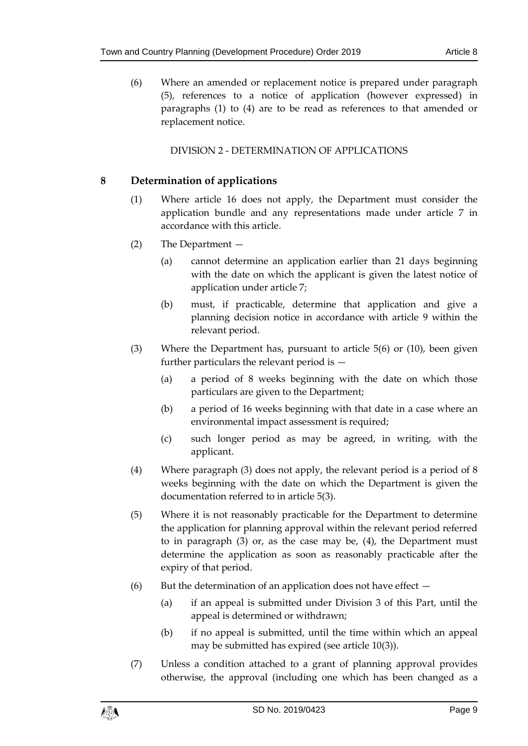(6) Where an amended or replacement notice is prepared under paragraph (5), references to a notice of application (however expressed) in paragraphs (1) to (4) are to be read as references to that amended or replacement notice.

# DIVISION 2 - DETERMINATION OF APPLICATIONS

# <span id="page-8-1"></span><span id="page-8-0"></span>**8 Determination of applications**

- (1) Where article 16 does not apply, the Department must consider the application bundle and any representations made under article 7 in accordance with this article.
- (2) The Department
	- (a) cannot determine an application earlier than 21 days beginning with the date on which the applicant is given the latest notice of application under article 7;
	- (b) must, if practicable, determine that application and give a planning decision notice in accordance with article 9 within the relevant period.
- (3) Where the Department has, pursuant to article 5(6) or (10), been given further particulars the relevant period is —
	- (a) a period of 8 weeks beginning with the date on which those particulars are given to the Department;
	- (b) a period of 16 weeks beginning with that date in a case where an environmental impact assessment is required;
	- (c) such longer period as may be agreed, in writing, with the applicant.
- (4) Where paragraph (3) does not apply, the relevant period is a period of 8 weeks beginning with the date on which the Department is given the documentation referred to in article 5(3).
- (5) Where it is not reasonably practicable for the Department to determine the application for planning approval within the relevant period referred to in paragraph (3) or, as the case may be, (4), the Department must determine the application as soon as reasonably practicable after the expiry of that period.
- (6) But the determination of an application does not have effect  $-$ 
	- (a) if an appeal is submitted under Division 3 of this Part, until the appeal is determined or withdrawn;
	- (b) if no appeal is submitted, until the time within which an appeal may be submitted has expired (see article 10(3)).
- (7) Unless a condition attached to a grant of planning approval provides otherwise, the approval (including one which has been changed as a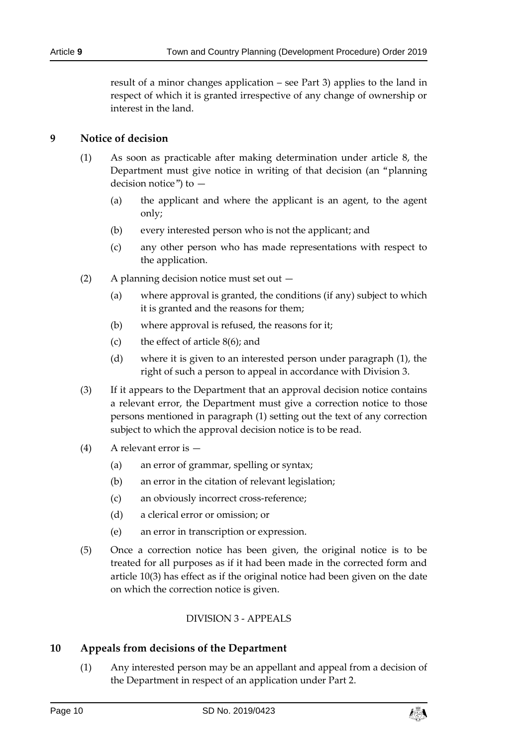result of a minor changes application – see Part 3) applies to the land in respect of which it is granted irrespective of any change of ownership or interest in the land.

# <span id="page-9-0"></span>**9 Notice of decision**

- (1) As soon as practicable after making determination under article 8, the Department must give notice in writing of that decision (an "planning decision notice") to —
	- (a) the applicant and where the applicant is an agent, to the agent only;
	- (b) every interested person who is not the applicant; and
	- (c) any other person who has made representations with respect to the application.
- (2) A planning decision notice must set out
	- (a) where approval is granted, the conditions (if any) subject to which it is granted and the reasons for them;
	- (b) where approval is refused, the reasons for it;
	- (c) the effect of article 8(6); and
	- (d) where it is given to an interested person under paragraph (1), the right of such a person to appeal in accordance with Division 3.
- (3) If it appears to the Department that an approval decision notice contains a relevant error, the Department must give a correction notice to those persons mentioned in paragraph (1) setting out the text of any correction subject to which the approval decision notice is to be read.
- (4) A relevant error is
	- (a) an error of grammar, spelling or syntax;
	- (b) an error in the citation of relevant legislation;
	- (c) an obviously incorrect cross-reference;
	- (d) a clerical error or omission; or
	- (e) an error in transcription or expression.
- (5) Once a correction notice has been given, the original notice is to be treated for all purposes as if it had been made in the corrected form and article 10(3) has effect as if the original notice had been given on the date on which the correction notice is given.

# DIVISION 3 - APPEALS

# <span id="page-9-2"></span><span id="page-9-1"></span>**10 Appeals from decisions of the Department**

(1) Any interested person may be an appellant and appeal from a decision of the Department in respect of an application under Part 2.

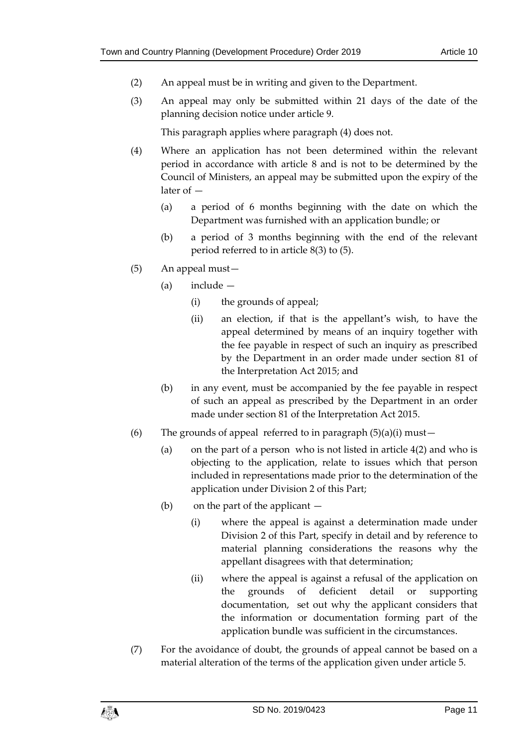- (2) An appeal must be in writing and given to the Department.
- (3) An appeal may only be submitted within 21 days of the date of the planning decision notice under article 9.

This paragraph applies where paragraph (4) does not.

- (4) Where an application has not been determined within the relevant period in accordance with article 8 and is not to be determined by the Council of Ministers, an appeal may be submitted upon the expiry of the later of —
	- (a) a period of 6 months beginning with the date on which the Department was furnished with an application bundle; or
	- (b) a period of 3 months beginning with the end of the relevant period referred to in article 8(3) to (5).
- (5) An appeal must—
	- (a) include
		- (i) the grounds of appeal;
		- (ii) an election, if that is the appellant's wish, to have the appeal determined by means of an inquiry together with the fee payable in respect of such an inquiry as prescribed by the Department in an order made under section 81 of the Interpretation Act 2015; and
	- (b) in any event, must be accompanied by the fee payable in respect of such an appeal as prescribed by the Department in an order made under section 81 of the Interpretation Act 2015.
- (6) The grounds of appeal referred to in paragraph  $(5)(a)(i)$  must -
	- (a) on the part of a person who is not listed in article 4(2) and who is objecting to the application, relate to issues which that person included in representations made prior to the determination of the application under Division 2 of this Part;
	- (b) on the part of the applicant
		- (i) where the appeal is against a determination made under Division 2 of this Part, specify in detail and by reference to material planning considerations the reasons why the appellant disagrees with that determination;
		- (ii) where the appeal is against a refusal of the application on the grounds of deficient detail or supporting documentation, set out why the applicant considers that the information or documentation forming part of the application bundle was sufficient in the circumstances.
- (7) For the avoidance of doubt, the grounds of appeal cannot be based on a material alteration of the terms of the application given under article 5.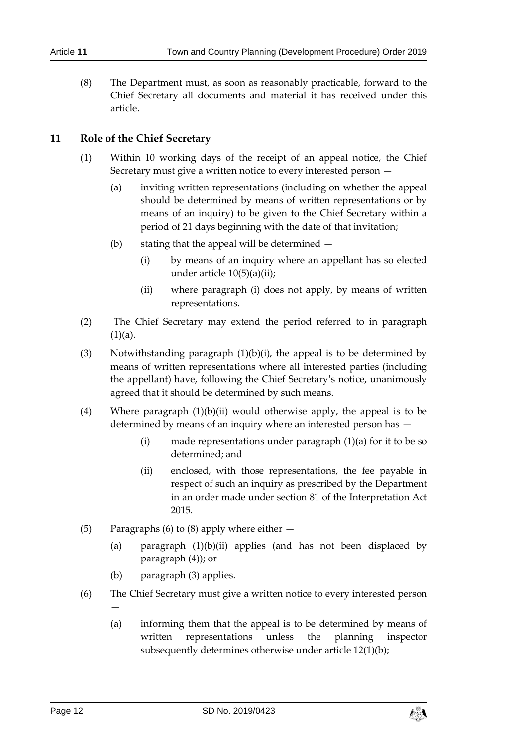(8) The Department must, as soon as reasonably practicable, forward to the Chief Secretary all documents and material it has received under this article.

### <span id="page-11-0"></span>**11 Role of the Chief Secretary**

- (1) Within 10 working days of the receipt of an appeal notice, the Chief Secretary must give a written notice to every interested person —
	- (a) inviting written representations (including on whether the appeal should be determined by means of written representations or by means of an inquiry) to be given to the Chief Secretary within a period of 21 days beginning with the date of that invitation;
	- (b) stating that the appeal will be determined
		- (i) by means of an inquiry where an appellant has so elected under article 10(5)(a)(ii);
		- (ii) where paragraph (i) does not apply, by means of written representations.
- (2) The Chief Secretary may extend the period referred to in paragraph  $(1)(a)$ .
- (3) Notwithstanding paragraph  $(1)(b)(i)$ , the appeal is to be determined by means of written representations where all interested parties (including the appellant) have, following the Chief Secretary's notice, unanimously agreed that it should be determined by such means.
- (4) Where paragraph (1)(b)(ii) would otherwise apply, the appeal is to be determined by means of an inquiry where an interested person has —
	- (i) made representations under paragraph (1)(a) for it to be so determined; and
	- (ii) enclosed, with those representations, the fee payable in respect of such an inquiry as prescribed by the Department in an order made under section 81 of the Interpretation Act 2015.
- (5) Paragraphs (6) to (8) apply where either
	- (a) paragraph (1)(b)(ii) applies (and has not been displaced by paragraph (4)); or
	- (b) paragraph (3) applies.
- (6) The Chief Secretary must give a written notice to every interested person —
	- (a) informing them that the appeal is to be determined by means of written representations unless the planning inspector subsequently determines otherwise under article 12(1)(b);

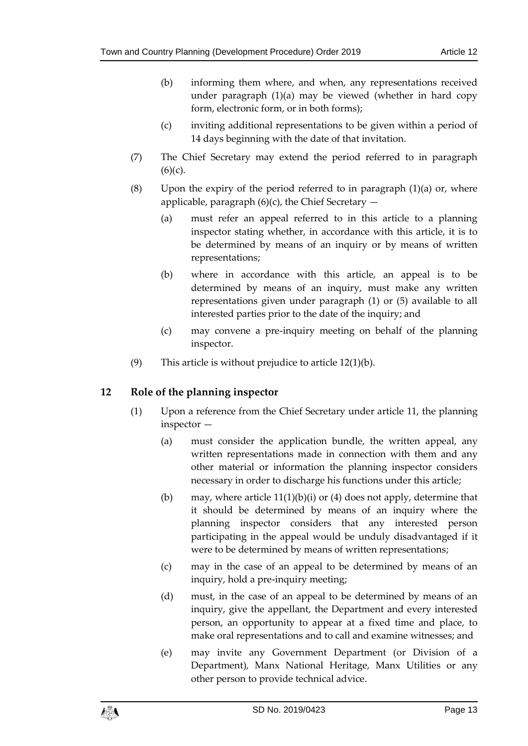- (b) informing them where, and when, any representations received under paragraph (1)(a) may be viewed (whether in hard copy form, electronic form, or in both forms);
- (c) inviting additional representations to be given within a period of 14 days beginning with the date of that invitation.
- (7) The Chief Secretary may extend the period referred to in paragraph  $(6)(c)$ .
- (8) Upon the expiry of the period referred to in paragraph  $(1)(a)$  or, where applicable, paragraph  $(6)(c)$ , the Chief Secretary  $-$ 
	- (a) must refer an appeal referred to in this article to a planning inspector stating whether, in accordance with this article, it is to be determined by means of an inquiry or by means of written representations;
	- (b) where in accordance with this article, an appeal is to be determined by means of an inquiry, must make any written representations given under paragraph (1) or (5) available to all interested parties prior to the date of the inquiry; and
	- (c) may convene a pre-inquiry meeting on behalf of the planning inspector.
- (9) This article is without prejudice to article  $12(1)(b)$ .

# <span id="page-12-0"></span>**12 Role of the planning inspector**

- (1) Upon a reference from the Chief Secretary under article 11, the planning inspector —
	- (a) must consider the application bundle, the written appeal, any written representations made in connection with them and any other material or information the planning inspector considers necessary in order to discharge his functions under this article;
	- (b) may, where article  $11(1)(b)(i)$  or (4) does not apply, determine that it should be determined by means of an inquiry where the planning inspector considers that any interested person participating in the appeal would be unduly disadvantaged if it were to be determined by means of written representations;
	- (c) may in the case of an appeal to be determined by means of an inquiry, hold a pre-inquiry meeting;
	- (d) must, in the case of an appeal to be determined by means of an inquiry, give the appellant, the Department and every interested person, an opportunity to appear at a fixed time and place, to make oral representations and to call and examine witnesses; and
	- (e) may invite any Government Department (or Division of a Department), Manx National Heritage, Manx Utilities or any other person to provide technical advice.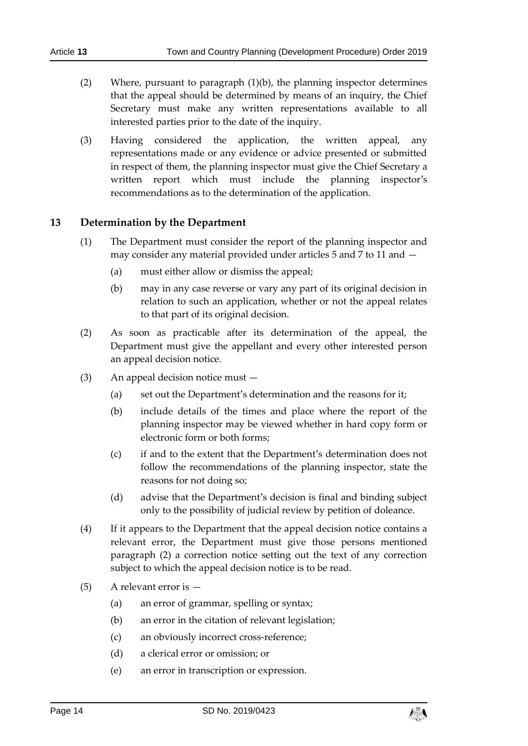- (2) Where, pursuant to paragraph (1)(b), the planning inspector determines that the appeal should be determined by means of an inquiry, the Chief Secretary must make any written representations available to all interested parties prior to the date of the inquiry.
- (3) Having considered the application, the written appeal, any representations made or any evidence or advice presented or submitted in respect of them, the planning inspector must give the Chief Secretary a written report which must include the planning inspector's recommendations as to the determination of the application.

### <span id="page-13-0"></span>**13 Determination by the Department**

- (1) The Department must consider the report of the planning inspector and may consider any material provided under articles 5 and 7 to 11 and —
	- (a) must either allow or dismiss the appeal;
	- (b) may in any case reverse or vary any part of its original decision in relation to such an application, whether or not the appeal relates to that part of its original decision.
- (2) As soon as practicable after its determination of the appeal, the Department must give the appellant and every other interested person an appeal decision notice.
- (3) An appeal decision notice must
	- (a) set out the Department's determination and the reasons for it;
	- (b) include details of the times and place where the report of the planning inspector may be viewed whether in hard copy form or electronic form or both forms;
	- (c) if and to the extent that the Department's determination does not follow the recommendations of the planning inspector, state the reasons for not doing so;
	- (d) advise that the Department's decision is final and binding subject only to the possibility of judicial review by petition of doleance.
- (4) If it appears to the Department that the appeal decision notice contains a relevant error, the Department must give those persons mentioned paragraph (2) a correction notice setting out the text of any correction subject to which the appeal decision notice is to be read.
- (5) A relevant error is
	- (a) an error of grammar, spelling or syntax;
	- (b) an error in the citation of relevant legislation;
	- (c) an obviously incorrect cross-reference;
	- (d) a clerical error or omission; or
	- (e) an error in transcription or expression.

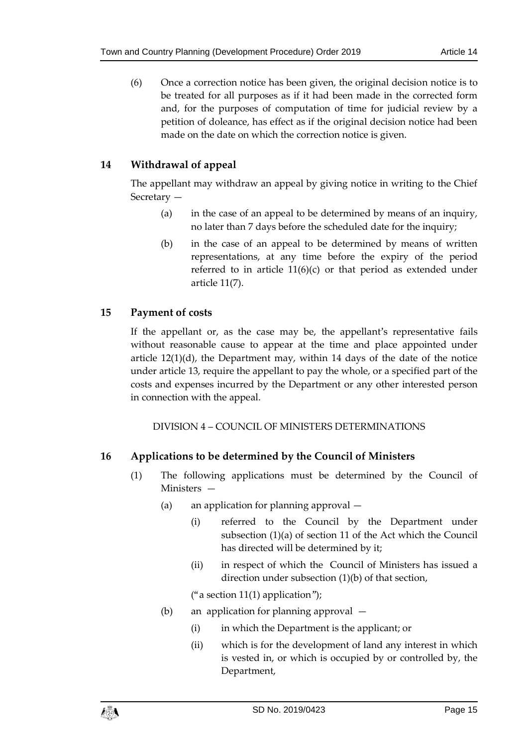(6) Once a correction notice has been given, the original decision notice is to be treated for all purposes as if it had been made in the corrected form and, for the purposes of computation of time for judicial review by a petition of doleance, has effect as if the original decision notice had been made on the date on which the correction notice is given.

# <span id="page-14-0"></span>**14 Withdrawal of appeal**

The appellant may withdraw an appeal by giving notice in writing to the Chief Secretary —

- (a) in the case of an appeal to be determined by means of an inquiry, no later than 7 days before the scheduled date for the inquiry;
- (b) in the case of an appeal to be determined by means of written representations, at any time before the expiry of the period referred to in article 11(6)(c) or that period as extended under article 11(7).

# <span id="page-14-1"></span>**15 Payment of costs**

If the appellant or, as the case may be, the appellant's representative fails without reasonable cause to appear at the time and place appointed under article  $12(1)(d)$ , the Department may, within 14 days of the date of the notice under article 13, require the appellant to pay the whole, or a specified part of the costs and expenses incurred by the Department or any other interested person in connection with the appeal.

DIVISION 4 – COUNCIL OF MINISTERS DETERMINATIONS

# <span id="page-14-3"></span><span id="page-14-2"></span>**16 Applications to be determined by the Council of Ministers**

- (1) The following applications must be determined by the Council of Ministers —
	- (a) an application for planning approval
		- (i) referred to the Council by the Department under subsection (1)(a) of section 11 of the Act which the Council has directed will be determined by it;
		- (ii) in respect of which the Council of Ministers has issued a direction under subsection (1)(b) of that section,

("a section  $11(1)$  application");

- (b) an application for planning approval
	- (i) in which the Department is the applicant; or
	- (ii) which is for the development of land any interest in which is vested in, or which is occupied by or controlled by, the Department,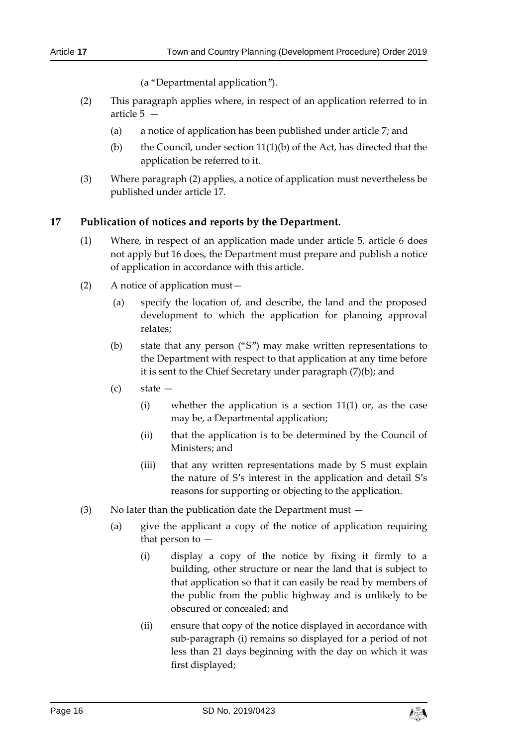(a "Departmental application").

- (2) This paragraph applies where, in respect of an application referred to in article 5 —
	- (a) a notice of application has been published under article 7; and
	- (b) the Council, under section  $11(1)(b)$  of the Act, has directed that the application be referred to it.
- (3) Where paragraph (2) applies, a notice of application must nevertheless be published under article 17.

# <span id="page-15-0"></span>**17 Publication of notices and reports by the Department.**

- (1) Where, in respect of an application made under article 5, article 6 does not apply but 16 does, the Department must prepare and publish a notice of application in accordance with this article.
- (2) A notice of application must—
	- (a) specify the location of, and describe, the land and the proposed development to which the application for planning approval relates;
	- (b) state that any person ("S") may make written representations to the Department with respect to that application at any time before it is sent to the Chief Secretary under paragraph (7)(b); and
	- (c) state
		- (i) whether the application is a section  $11(1)$  or, as the case may be, a Departmental application;
		- (ii) that the application is to be determined by the Council of Ministers; and
		- (iii) that any written representations made by S must explain the nature of S's interest in the application and detail S's reasons for supporting or objecting to the application.
- (3) No later than the publication date the Department must
	- (a) give the applicant a copy of the notice of application requiring that person to —
		- (i) display a copy of the notice by fixing it firmly to a building, other structure or near the land that is subject to that application so that it can easily be read by members of the public from the public highway and is unlikely to be obscured or concealed; and
		- (ii) ensure that copy of the notice displayed in accordance with sub-paragraph (i) remains so displayed for a period of not less than 21 days beginning with the day on which it was first displayed;

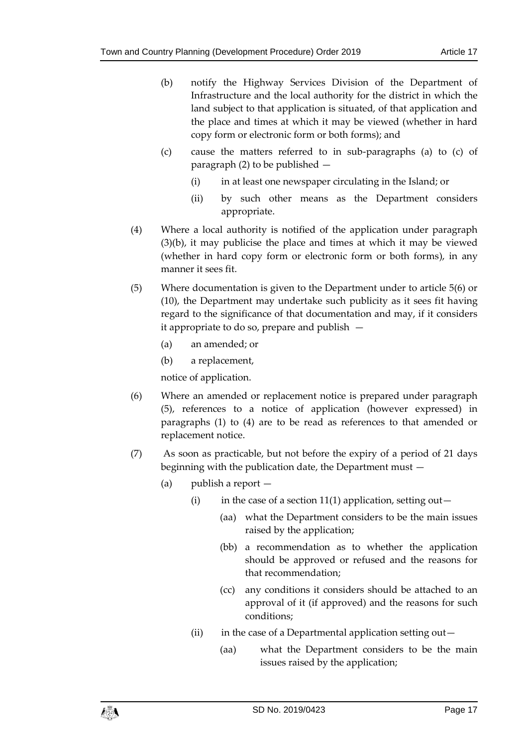- (b) notify the Highway Services Division of the Department of Infrastructure and the local authority for the district in which the land subject to that application is situated, of that application and the place and times at which it may be viewed (whether in hard copy form or electronic form or both forms); and
- (c) cause the matters referred to in sub-paragraphs (a) to (c) of paragraph (2) to be published —
	- (i) in at least one newspaper circulating in the Island; or
	- (ii) by such other means as the Department considers appropriate.
- (4) Where a local authority is notified of the application under paragraph (3)(b), it may publicise the place and times at which it may be viewed (whether in hard copy form or electronic form or both forms), in any manner it sees fit.
- (5) Where documentation is given to the Department under to article 5(6) or (10), the Department may undertake such publicity as it sees fit having regard to the significance of that documentation and may, if it considers it appropriate to do so, prepare and publish —
	- (a) an amended; or
	- (b) a replacement,

notice of application.

- (6) Where an amended or replacement notice is prepared under paragraph (5), references to a notice of application (however expressed) in paragraphs (1) to (4) are to be read as references to that amended or replacement notice.
- (7) As soon as practicable, but not before the expiry of a period of 21 days beginning with the publication date, the Department must —
	- (a) publish a report
		- (i) in the case of a section 11(1) application, setting out—
			- (aa) what the Department considers to be the main issues raised by the application;
			- (bb) a recommendation as to whether the application should be approved or refused and the reasons for that recommendation;
			- (cc) any conditions it considers should be attached to an approval of it (if approved) and the reasons for such conditions;
		- (ii) in the case of a Departmental application setting out $-$ 
			- (aa) what the Department considers to be the main issues raised by the application;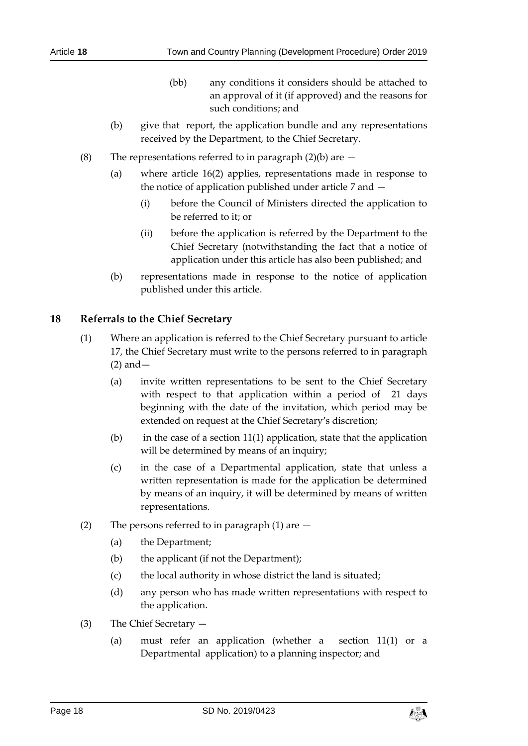- (bb) any conditions it considers should be attached to an approval of it (if approved) and the reasons for such conditions; and
- (b) give that report, the application bundle and any representations received by the Department, to the Chief Secretary.
- (8) The representations referred to in paragraph  $(2)(b)$  are  $-$ 
	- (a) where article 16(2) applies, representations made in response to the notice of application published under article 7 and —
		- (i) before the Council of Ministers directed the application to be referred to it; or
		- (ii) before the application is referred by the Department to the Chief Secretary (notwithstanding the fact that a notice of application under this article has also been published; and
	- (b) representations made in response to the notice of application published under this article.

### <span id="page-17-0"></span>**18 Referrals to the Chief Secretary**

- (1) Where an application is referred to the Chief Secretary pursuant to article 17, the Chief Secretary must write to the persons referred to in paragraph (2) and—
	- (a) invite written representations to be sent to the Chief Secretary with respect to that application within a period of 21 days beginning with the date of the invitation, which period may be extended on request at the Chief Secretary's discretion;
	- (b) in the case of a section 11(1) application, state that the application will be determined by means of an inquiry;
	- (c) in the case of a Departmental application, state that unless a written representation is made for the application be determined by means of an inquiry, it will be determined by means of written representations.
- (2) The persons referred to in paragraph (1) are
	- (a) the Department;
	- (b) the applicant (if not the Department);
	- (c) the local authority in whose district the land is situated;
	- (d) any person who has made written representations with respect to the application.
- (3) The Chief Secretary
	- (a) must refer an application (whether a section 11(1) or a Departmental application) to a planning inspector; and

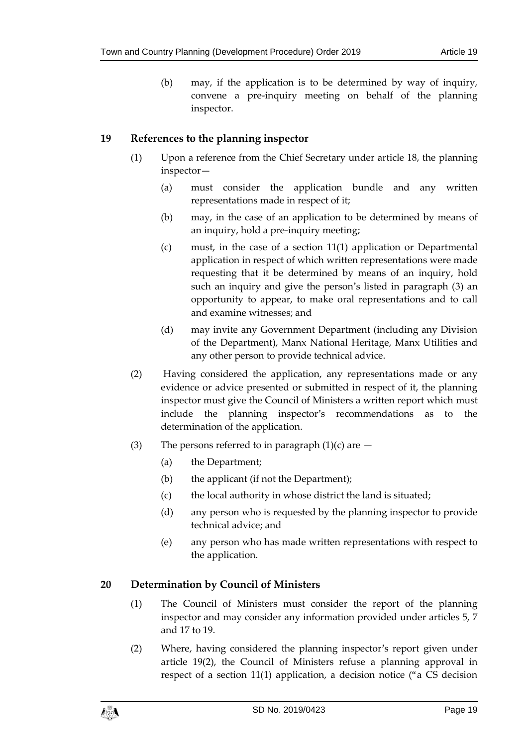(b) may, if the application is to be determined by way of inquiry, convene a pre-inquiry meeting on behalf of the planning inspector.

# <span id="page-18-0"></span>**19 References to the planning inspector**

- (1) Upon a reference from the Chief Secretary under article 18, the planning inspector—
	- (a) must consider the application bundle and any written representations made in respect of it;
	- (b) may, in the case of an application to be determined by means of an inquiry, hold a pre-inquiry meeting;
	- (c) must, in the case of a section 11(1) application or Departmental application in respect of which written representations were made requesting that it be determined by means of an inquiry, hold such an inquiry and give the person's listed in paragraph (3) an opportunity to appear, to make oral representations and to call and examine witnesses; and
	- (d) may invite any Government Department (including any Division of the Department), Manx National Heritage, Manx Utilities and any other person to provide technical advice.
- (2) Having considered the application, any representations made or any evidence or advice presented or submitted in respect of it, the planning inspector must give the Council of Ministers a written report which must include the planning inspector's recommendations as to the determination of the application.
- (3) The persons referred to in paragraph  $(1)(c)$  are  $-$ 
	- (a) the Department;
	- (b) the applicant (if not the Department);
	- (c) the local authority in whose district the land is situated;
	- (d) any person who is requested by the planning inspector to provide technical advice; and
	- (e) any person who has made written representations with respect to the application.

# <span id="page-18-1"></span>**20 Determination by Council of Ministers**

- (1) The Council of Ministers must consider the report of the planning inspector and may consider any information provided under articles 5, 7 and 17 to 19.
- (2) Where, having considered the planning inspector's report given under article 19(2), the Council of Ministers refuse a planning approval in respect of a section 11(1) application, a decision notice ("a CS decision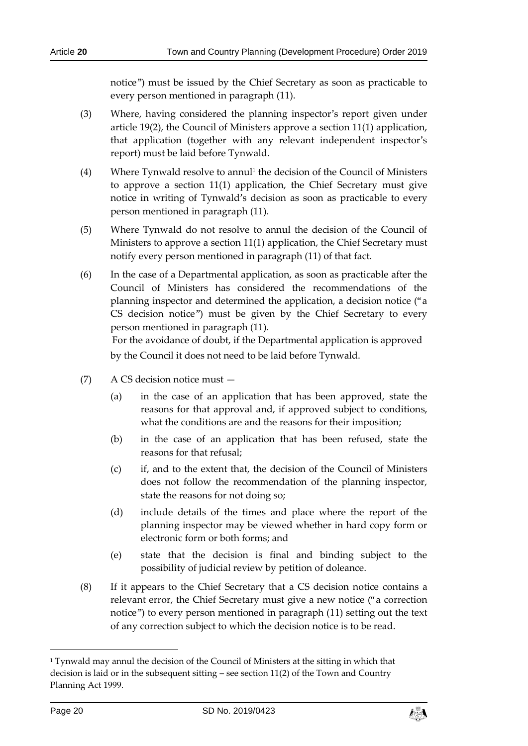notice") must be issued by the Chief Secretary as soon as practicable to every person mentioned in paragraph (11).

- (3) Where, having considered the planning inspector's report given under article 19(2), the Council of Ministers approve a section 11(1) application, that application (together with any relevant independent inspector's report) must be laid before Tynwald.
- (4) Where Tynwald resolve to annul<sup>1</sup> the decision of the Council of Ministers to approve a section 11(1) application, the Chief Secretary must give notice in writing of Tynwald's decision as soon as practicable to every person mentioned in paragraph (11).
- (5) Where Tynwald do not resolve to annul the decision of the Council of Ministers to approve a section 11(1) application, the Chief Secretary must notify every person mentioned in paragraph (11) of that fact.
- (6) In the case of a Departmental application, as soon as practicable after the Council of Ministers has considered the recommendations of the planning inspector and determined the application, a decision notice ("a CS decision notice") must be given by the Chief Secretary to every person mentioned in paragraph (11).

For the avoidance of doubt, if the Departmental application is approved by the Council it does not need to be laid before Tynwald.

- (7) A CS decision notice must
	- (a) in the case of an application that has been approved, state the reasons for that approval and, if approved subject to conditions, what the conditions are and the reasons for their imposition;
	- (b) in the case of an application that has been refused, state the reasons for that refusal;
	- (c) if, and to the extent that, the decision of the Council of Ministers does not follow the recommendation of the planning inspector, state the reasons for not doing so;
	- (d) include details of the times and place where the report of the planning inspector may be viewed whether in hard copy form or electronic form or both forms; and
	- (e) state that the decision is final and binding subject to the possibility of judicial review by petition of doleance.
- (8) If it appears to the Chief Secretary that a CS decision notice contains a relevant error, the Chief Secretary must give a new notice ("a correction notice") to every person mentioned in paragraph (11) setting out the text of any correction subject to which the decision notice is to be read.

-



<sup>&</sup>lt;sup>1</sup> Tynwald may annul the decision of the Council of Ministers at the sitting in which that decision is laid or in the subsequent sitting – see section  $11(2)$  of the Town and Country Planning Act 1999.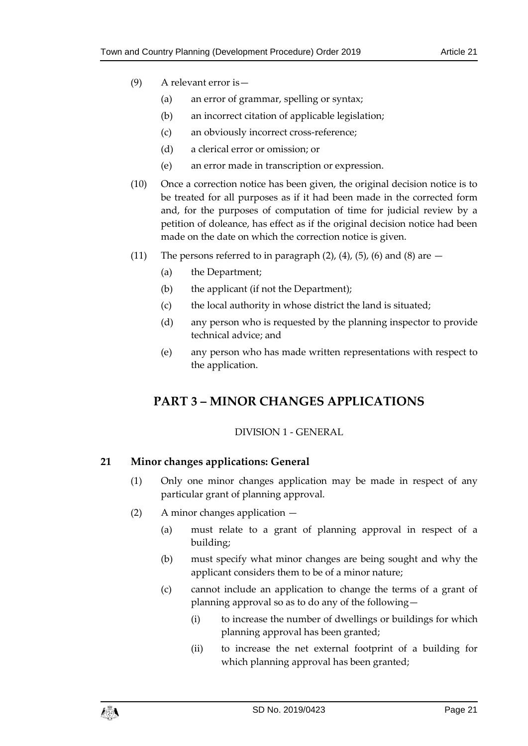- (9) A relevant error is—
	- (a) an error of grammar, spelling or syntax;
	- (b) an incorrect citation of applicable legislation;
	- (c) an obviously incorrect cross-reference;
	- (d) a clerical error or omission; or
	- (e) an error made in transcription or expression.
- (10) Once a correction notice has been given, the original decision notice is to be treated for all purposes as if it had been made in the corrected form and, for the purposes of computation of time for judicial review by a petition of doleance, has effect as if the original decision notice had been made on the date on which the correction notice is given.
- (11) The persons referred to in paragraph  $(2)$ ,  $(4)$ ,  $(5)$ ,  $(6)$  and  $(8)$  are  $-$ 
	- (a) the Department;
	- (b) the applicant (if not the Department);
	- (c) the local authority in whose district the land is situated;
	- (d) any person who is requested by the planning inspector to provide technical advice; and
	- (e) any person who has made written representations with respect to the application.

# <span id="page-20-0"></span>**PART 3 – MINOR CHANGES APPLICATIONS**

# DIVISION 1 - GENERAL

# <span id="page-20-2"></span><span id="page-20-1"></span>**21 Minor changes applications: General**

- (1) Only one minor changes application may be made in respect of any particular grant of planning approval.
- (2) A minor changes application
	- (a) must relate to a grant of planning approval in respect of a building;
	- (b) must specify what minor changes are being sought and why the applicant considers them to be of a minor nature;
	- (c) cannot include an application to change the terms of a grant of planning approval so as to do any of the following—
		- (i) to increase the number of dwellings or buildings for which planning approval has been granted;
		- (ii) to increase the net external footprint of a building for which planning approval has been granted;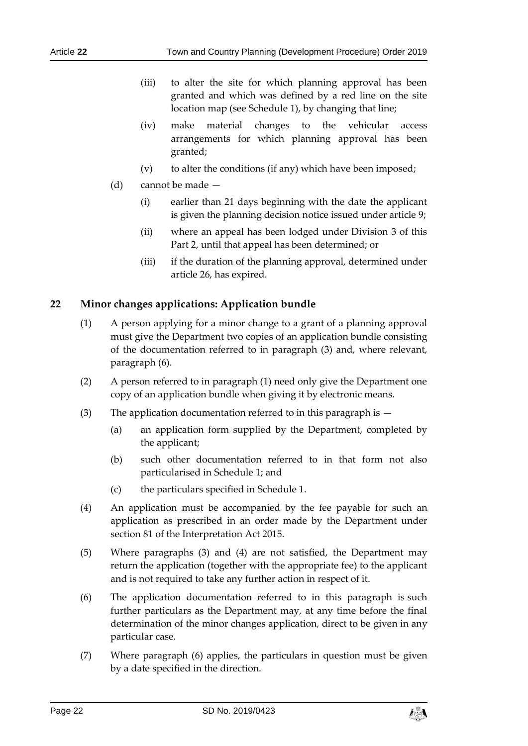- (iii) to alter the site for which planning approval has been granted and which was defined by a red line on the site location map (see Schedule 1), by changing that line;
- (iv) make material changes to the vehicular access arrangements for which planning approval has been granted;
- (v) to alter the conditions (if any) which have been imposed;
- (d) cannot be made
	- (i) earlier than 21 days beginning with the date the applicant is given the planning decision notice issued under article 9;
	- (ii) where an appeal has been lodged under Division 3 of this Part 2, until that appeal has been determined; or
	- (iii) if the duration of the planning approval, determined under article 26, has expired.

# <span id="page-21-0"></span>**22 Minor changes applications: Application bundle**

- (1) A person applying for a minor change to a grant of a planning approval must give the Department two copies of an application bundle consisting of the documentation referred to in paragraph (3) and, where relevant, paragraph (6).
- (2) A person referred to in paragraph (1) need only give the Department one copy of an application bundle when giving it by electronic means.
- (3) The application documentation referred to in this paragraph is  $-$ 
	- (a) an application form supplied by the Department, completed by the applicant;
	- (b) such other documentation referred to in that form not also particularised in Schedule 1; and
	- (c) the particulars specified in Schedule 1.
- (4) An application must be accompanied by the fee payable for such an application as prescribed in an order made by the Department under section 81 of the Interpretation Act 2015.
- (5) Where paragraphs (3) and (4) are not satisfied, the Department may return the application (together with the appropriate fee) to the applicant and is not required to take any further action in respect of it.
- (6) The application documentation referred to in this paragraph is such further particulars as the Department may, at any time before the final determination of the minor changes application, direct to be given in any particular case.
- (7) Where paragraph (6) applies, the particulars in question must be given by a date specified in the direction.

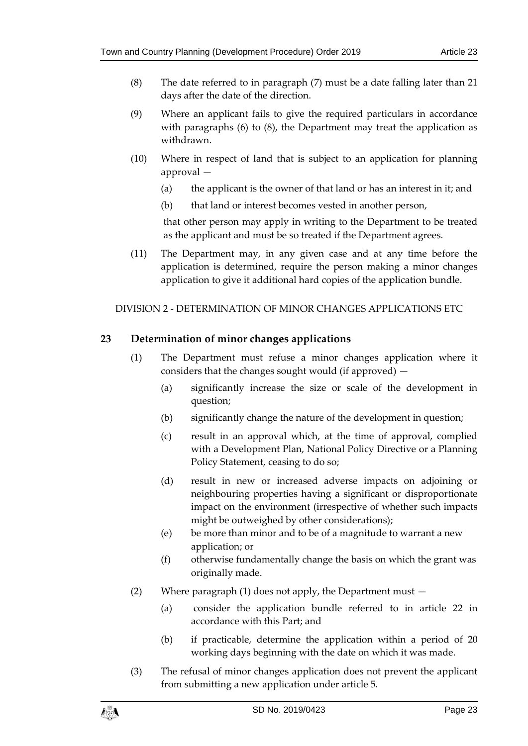- (8) The date referred to in paragraph (7) must be a date falling later than 21 days after the date of the direction.
- (9) Where an applicant fails to give the required particulars in accordance with paragraphs (6) to (8), the Department may treat the application as withdrawn.
- (10) Where in respect of land that is subject to an application for planning approval —
	- (a) the applicant is the owner of that land or has an interest in it; and
	- (b) that land or interest becomes vested in another person,

that other person may apply in writing to the Department to be treated as the applicant and must be so treated if the Department agrees.

(11) The Department may, in any given case and at any time before the application is determined, require the person making a minor changes application to give it additional hard copies of the application bundle.

# <span id="page-22-0"></span>DIVISION 2 - DETERMINATION OF MINOR CHANGES APPLICATIONS ETC

# <span id="page-22-1"></span>**23 Determination of minor changes applications**

- (1) The Department must refuse a minor changes application where it considers that the changes sought would (if approved) —
	- (a) significantly increase the size or scale of the development in question;
	- (b) significantly change the nature of the development in question;
	- (c) result in an approval which, at the time of approval, complied with a Development Plan, National Policy Directive or a Planning Policy Statement, ceasing to do so;
	- (d) result in new or increased adverse impacts on adjoining or neighbouring properties having a significant or disproportionate impact on the environment (irrespective of whether such impacts might be outweighed by other considerations);
	- (e) be more than minor and to be of a magnitude to warrant a new application; or
	- (f) otherwise fundamentally change the basis on which the grant was originally made.
- (2) Where paragraph (1) does not apply, the Department must
	- (a) consider the application bundle referred to in article 22 in accordance with this Part; and
	- (b) if practicable, determine the application within a period of 20 working days beginning with the date on which it was made.
- (3) The refusal of minor changes application does not prevent the applicant from submitting a new application under article 5.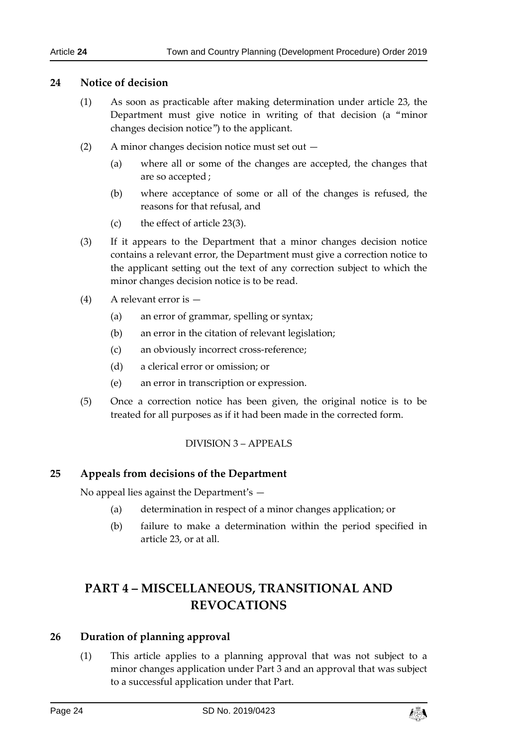### <span id="page-23-0"></span>**24 Notice of decision**

- (1) As soon as practicable after making determination under article 23, the Department must give notice in writing of that decision (a "minor changes decision notice") to the applicant.
- (2) A minor changes decision notice must set out
	- (a) where all or some of the changes are accepted, the changes that are so accepted ;
	- (b) where acceptance of some or all of the changes is refused, the reasons for that refusal, and
	- (c) the effect of article 23(3).
- (3) If it appears to the Department that a minor changes decision notice contains a relevant error, the Department must give a correction notice to the applicant setting out the text of any correction subject to which the minor changes decision notice is to be read.
- (4) A relevant error is
	- (a) an error of grammar, spelling or syntax;
	- (b) an error in the citation of relevant legislation;
	- (c) an obviously incorrect cross-reference;
	- (d) a clerical error or omission; or
	- (e) an error in transcription or expression.
- <span id="page-23-1"></span>(5) Once a correction notice has been given, the original notice is to be treated for all purposes as if it had been made in the corrected form.

# DIVISION 3 – APPEALS

# <span id="page-23-2"></span>**25 Appeals from decisions of the Department**

No appeal lies against the Department's —

- (a) determination in respect of a minor changes application; or
- (b) failure to make a determination within the period specified in article 23, or at all.

# <span id="page-23-3"></span>**PART 4 – MISCELLANEOUS, TRANSITIONAL AND REVOCATIONS**

# <span id="page-23-4"></span>**26 Duration of planning approval**

(1) This article applies to a planning approval that was not subject to a minor changes application under Part 3 and an approval that was subject to a successful application under that Part.

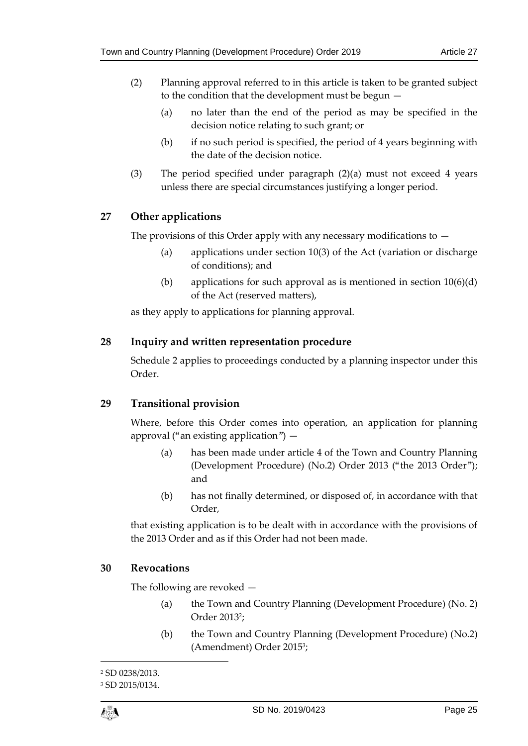- (2) Planning approval referred to in this article is taken to be granted subject to the condition that the development must be begun —
	- (a) no later than the end of the period as may be specified in the decision notice relating to such grant; or
	- (b) if no such period is specified, the period of 4 years beginning with the date of the decision notice.
- (3) The period specified under paragraph (2)(a) must not exceed 4 years unless there are special circumstances justifying a longer period.

# <span id="page-24-0"></span>**27 Other applications**

The provisions of this Order apply with any necessary modifications to  $-$ 

- (a) applications under section 10(3) of the Act (variation or discharge of conditions); and
- (b) applications for such approval as is mentioned in section  $10(6)(d)$ of the Act (reserved matters),

as they apply to applications for planning approval.

# <span id="page-24-1"></span>**28 Inquiry and written representation procedure**

Schedule 2 applies to proceedings conducted by a planning inspector under this Order.

# <span id="page-24-2"></span>**29 Transitional provision**

Where, before this Order comes into operation, an application for planning approval ("an existing application") —

- (a) has been made under article 4 of the Town and Country Planning (Development Procedure) (No.2) Order 2013 ("the 2013 Order"); and
- (b) has not finally determined, or disposed of, in accordance with that Order,

that existing application is to be dealt with in accordance with the provisions of the 2013 Order and as if this Order had not been made.

# <span id="page-24-3"></span>**30 Revocations**

The following are revoked —

- (a) the Town and Country Planning (Development Procedure) (No. 2) Order 2013<sup>2</sup> ;
- (b) the Town and Country Planning (Development Procedure) (No.2) (Amendment) Order 2015 3 ;

 $\overline{a}$ 

<sup>2</sup> SD 0238/2013.

<sup>3</sup> SD 2015/0134.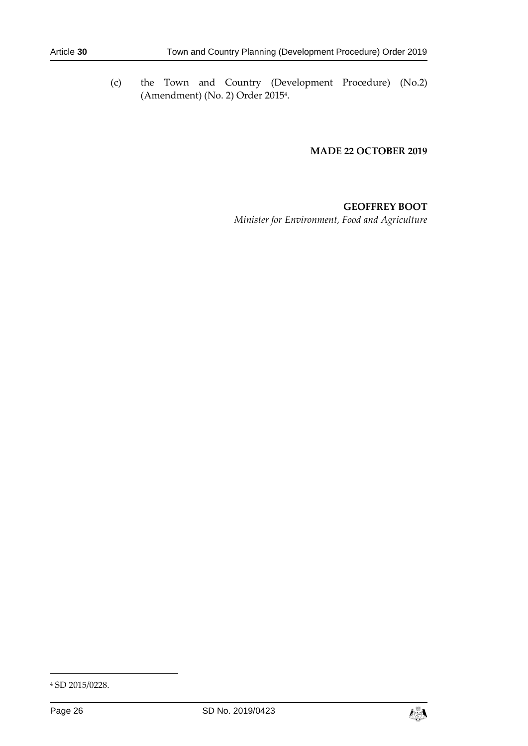(c) the Town and Country (Development Procedure) (No.2) (Amendment) (No. 2) Order 2015<sup>4</sup> .

#### **MADE 22 OCTOBER 2019**

# **GEOFFREY BOOT** *Minister for Environment, Food and Agriculture*

-



<sup>4</sup> SD 2015/0228.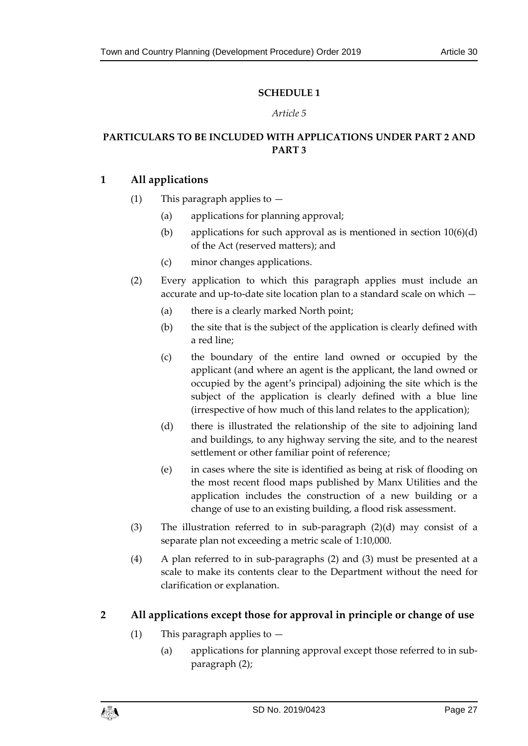## **SCHEDULE 1**

#### *Article 5*

# <span id="page-26-1"></span><span id="page-26-0"></span>**PARTICULARS TO BE INCLUDED WITH APPLICATIONS UNDER PART 2 AND PART 3**

## **1 All applications**

- (1) This paragraph applies to  $-$ 
	- (a) applications for planning approval;
	- (b) applications for such approval as is mentioned in section  $10(6)(d)$ of the Act (reserved matters); and
	- (c) minor changes applications.
- (2) Every application to which this paragraph applies must include an accurate and up-to-date site location plan to a standard scale on which —
	- (a) there is a clearly marked North point;
	- (b) the site that is the subject of the application is clearly defined with a red line;
	- (c) the boundary of the entire land owned or occupied by the applicant (and where an agent is the applicant, the land owned or occupied by the agent's principal) adjoining the site which is the subject of the application is clearly defined with a blue line (irrespective of how much of this land relates to the application);
	- (d) there is illustrated the relationship of the site to adjoining land and buildings, to any highway serving the site, and to the nearest settlement or other familiar point of reference;
	- (e) in cases where the site is identified as being at risk of flooding on the most recent flood maps published by Manx Utilities and the application includes the construction of a new building or a change of use to an existing building, a flood risk assessment.
- (3) The illustration referred to in sub-paragraph (2)(d) may consist of a separate plan not exceeding a metric scale of 1:10,000.
- (4) A plan referred to in sub-paragraphs (2) and (3) must be presented at a scale to make its contents clear to the Department without the need for clarification or explanation.

# **2 All applications except those for approval in principle or change of use**

- (1) This paragraph applies to  $-$ 
	- (a) applications for planning approval except those referred to in subparagraph (2);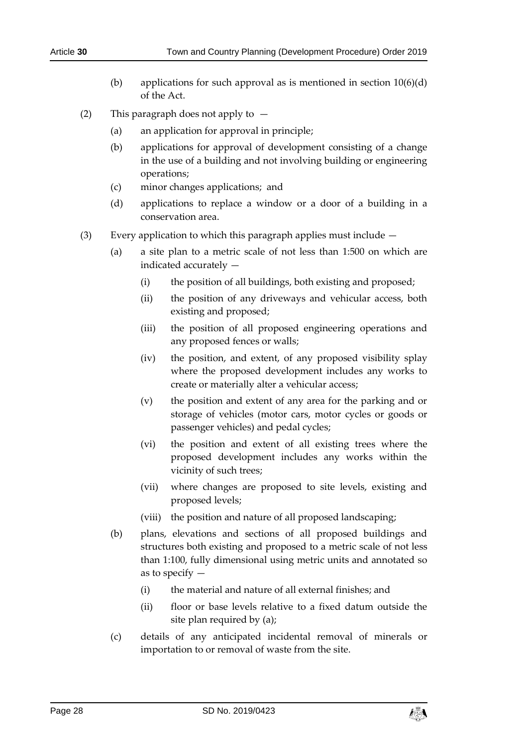- (b) applications for such approval as is mentioned in section  $10(6)(d)$ of the Act.
- (2) This paragraph does not apply to
	- (a) an application for approval in principle;
	- (b) applications for approval of development consisting of a change in the use of a building and not involving building or engineering operations;
	- (c) minor changes applications; and
	- (d) applications to replace a window or a door of a building in a conservation area.
- (3) Every application to which this paragraph applies must include
	- (a) a site plan to a metric scale of not less than 1:500 on which are indicated accurately —
		- (i) the position of all buildings, both existing and proposed;
		- (ii) the position of any driveways and vehicular access, both existing and proposed;
		- (iii) the position of all proposed engineering operations and any proposed fences or walls;
		- (iv) the position, and extent, of any proposed visibility splay where the proposed development includes any works to create or materially alter a vehicular access;
		- (v) the position and extent of any area for the parking and or storage of vehicles (motor cars, motor cycles or goods or passenger vehicles) and pedal cycles;
		- (vi) the position and extent of all existing trees where the proposed development includes any works within the vicinity of such trees;
		- (vii) where changes are proposed to site levels, existing and proposed levels;
		- (viii) the position and nature of all proposed landscaping;
	- (b) plans, elevations and sections of all proposed buildings and structures both existing and proposed to a metric scale of not less than 1:100, fully dimensional using metric units and annotated so as to specify —
		- (i) the material and nature of all external finishes; and
		- (ii) floor or base levels relative to a fixed datum outside the site plan required by (a);
	- (c) details of any anticipated incidental removal of minerals or importation to or removal of waste from the site.

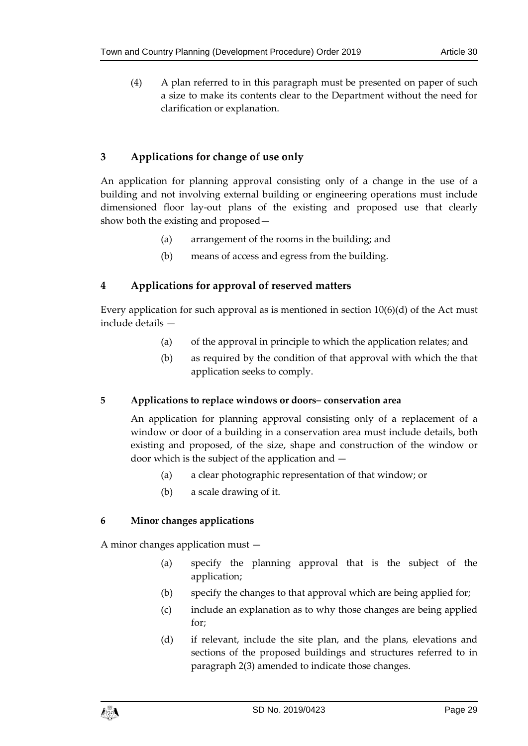(4) A plan referred to in this paragraph must be presented on paper of such a size to make its contents clear to the Department without the need for clarification or explanation.

# **3 Applications for change of use only**

An application for planning approval consisting only of a change in the use of a building and not involving external building or engineering operations must include dimensioned floor lay-out plans of the existing and proposed use that clearly show both the existing and proposed—

- (a) arrangement of the rooms in the building; and
- (b) means of access and egress from the building.

# **4 Applications for approval of reserved matters**

Every application for such approval as is mentioned in section  $10(6)(d)$  of the Act must include details —

- (a) of the approval in principle to which the application relates; and
- (b) as required by the condition of that approval with which the that application seeks to comply.

# **5 Applications to replace windows or doors– conservation area**

An application for planning approval consisting only of a replacement of a window or door of a building in a conservation area must include details, both existing and proposed, of the size, shape and construction of the window or door which is the subject of the application and —

- (a) a clear photographic representation of that window; or
- (b) a scale drawing of it.

# **6 Minor changes applications**

A minor changes application must —

- (a) specify the planning approval that is the subject of the application;
- (b) specify the changes to that approval which are being applied for;
- (c) include an explanation as to why those changes are being applied for;
- (d) if relevant, include the site plan, and the plans, elevations and sections of the proposed buildings and structures referred to in paragraph 2(3) amended to indicate those changes.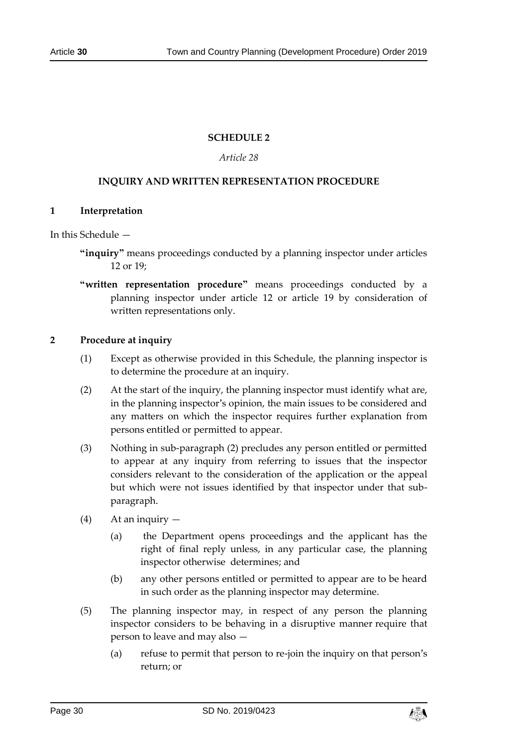#### **SCHEDULE 2**

#### *Article 28*

#### <span id="page-29-0"></span>**INQUIRY AND WRITTEN REPRESENTATION PROCEDURE**

#### <span id="page-29-1"></span>**1 Interpretation**

In this Schedule —

- **"inquiry"** means proceedings conducted by a planning inspector under articles 12 or 19;
- **"written representation procedure"** means proceedings conducted by a planning inspector under article 12 or article 19 by consideration of written representations only.

#### **2 Procedure at inquiry**

- (1) Except as otherwise provided in this Schedule, the planning inspector is to determine the procedure at an inquiry.
- (2) At the start of the inquiry, the planning inspector must identify what are, in the planning inspector's opinion, the main issues to be considered and any matters on which the inspector requires further explanation from persons entitled or permitted to appear.
- (3) Nothing in sub-paragraph (2) precludes any person entitled or permitted to appear at any inquiry from referring to issues that the inspector considers relevant to the consideration of the application or the appeal but which were not issues identified by that inspector under that subparagraph.
- (4) At an inquiry
	- (a) the Department opens proceedings and the applicant has the right of final reply unless, in any particular case, the planning inspector otherwise determines; and
	- (b) any other persons entitled or permitted to appear are to be heard in such order as the planning inspector may determine.
- (5) The planning inspector may, in respect of any person the planning inspector considers to be behaving in a disruptive manner require that person to leave and may also —
	- (a) refuse to permit that person to re-join the inquiry on that person's return; or

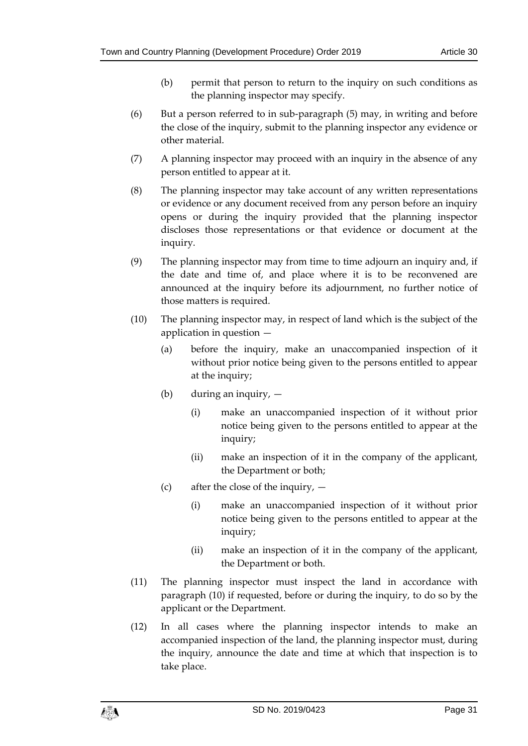- (b) permit that person to return to the inquiry on such conditions as the planning inspector may specify.
- (6) But a person referred to in sub-paragraph (5) may, in writing and before the close of the inquiry, submit to the planning inspector any evidence or other material.
- (7) A planning inspector may proceed with an inquiry in the absence of any person entitled to appear at it.
- (8) The planning inspector may take account of any written representations or evidence or any document received from any person before an inquiry opens or during the inquiry provided that the planning inspector discloses those representations or that evidence or document at the inquiry.
- (9) The planning inspector may from time to time adjourn an inquiry and, if the date and time of, and place where it is to be reconvened are announced at the inquiry before its adjournment, no further notice of those matters is required.
- (10) The planning inspector may, in respect of land which is the subject of the application in question —
	- (a) before the inquiry, make an unaccompanied inspection of it without prior notice being given to the persons entitled to appear at the inquiry;
	- (b) during an inquiry,
		- (i) make an unaccompanied inspection of it without prior notice being given to the persons entitled to appear at the inquiry;
		- (ii) make an inspection of it in the company of the applicant, the Department or both;
	- (c) after the close of the inquiry,  $-$ 
		- (i) make an unaccompanied inspection of it without prior notice being given to the persons entitled to appear at the inquiry;
		- (ii) make an inspection of it in the company of the applicant, the Department or both.
- (11) The planning inspector must inspect the land in accordance with paragraph (10) if requested, before or during the inquiry, to do so by the applicant or the Department.
- (12) In all cases where the planning inspector intends to make an accompanied inspection of the land, the planning inspector must, during the inquiry, announce the date and time at which that inspection is to take place.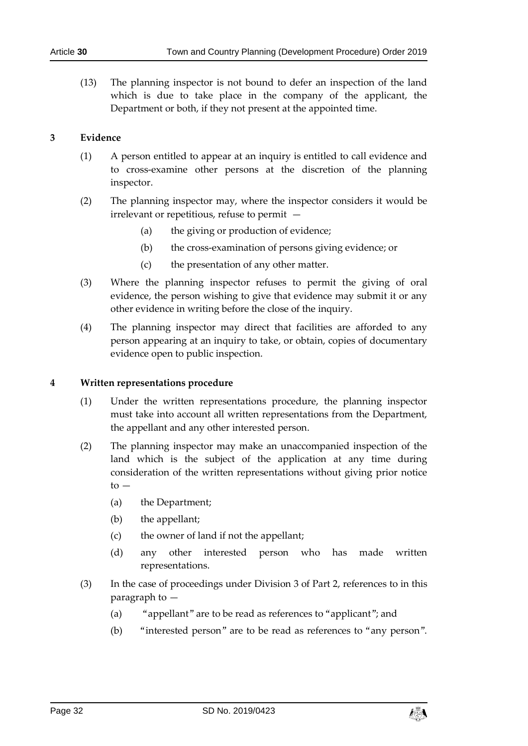(13) The planning inspector is not bound to defer an inspection of the land which is due to take place in the company of the applicant, the Department or both, if they not present at the appointed time.

#### **3 Evidence**

- (1) A person entitled to appear at an inquiry is entitled to call evidence and to cross-examine other persons at the discretion of the planning inspector.
- (2) The planning inspector may, where the inspector considers it would be irrelevant or repetitious, refuse to permit —
	- (a) the giving or production of evidence;
	- (b) the cross-examination of persons giving evidence; or
	- (c) the presentation of any other matter.
- (3) Where the planning inspector refuses to permit the giving of oral evidence, the person wishing to give that evidence may submit it or any other evidence in writing before the close of the inquiry.
- (4) The planning inspector may direct that facilities are afforded to any person appearing at an inquiry to take, or obtain, copies of documentary evidence open to public inspection.

#### **4 Written representations procedure**

- (1) Under the written representations procedure, the planning inspector must take into account all written representations from the Department, the appellant and any other interested person.
- (2) The planning inspector may make an unaccompanied inspection of the land which is the subject of the application at any time during consideration of the written representations without giving prior notice to —
	- (a) the Department;
	- (b) the appellant;
	- (c) the owner of land if not the appellant;
	- (d) any other interested person who has made written representations.
- (3) In the case of proceedings under Division 3 of Part 2, references to in this paragraph to —
	- (a) "appellant" are to be read as references to "applicant"; and
	- (b) "interested person" are to be read as references to "any person".